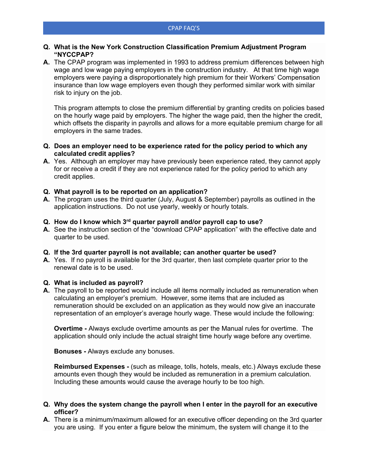## **Q. What is the New York Construction Classification Premium Adjustment Program "NYCCPAP?**

**A.** The CPAP program was implemented in 1993 to address premium differences between high wage and low wage paying employers in the construction industry. At that time high wage employers were paying a disproportionately high premium for their Workers' Compensation insurance than low wage employers even though they performed similar work with similar risk to injury on the job.

This program attempts to close the premium differential by granting credits on policies based on the hourly wage paid by employers. The higher the wage paid, then the higher the credit, which offsets the disparity in payrolls and allows for a more equitable premium charge for all employers in the same trades.

- **Q. Does an employer need to be experience rated for the policy period to which any calculated credit applies?**
- **A.** Yes. Although an employer may have previously been experience rated, they cannot apply for or receive a credit if they are not experience rated for the policy period to which any credit applies.
- **Q. What payroll is to be reported on an application?**
- **A.** The program uses the third quarter (July, August & September) payrolls as outlined in the application instructions. Do not use yearly, weekly or hourly totals.

# **Q. How do I know which 3rd quarter payroll and/or payroll cap to use?**

**A.** See the instruction section of the "download CPAP application" with the effective date and quarter to be used.

#### **Q. If the 3rd quarter payroll is not available; can another quarter be used?**

**A.** Yes. If no payroll is available for the 3rd quarter, then last complete quarter prior to the renewal date is to be used.

#### **Q. What is included as payroll?**

**A.** The payroll to be reported would include all items normally included as remuneration when calculating an employer's premium. However, some items that are included as remuneration should be excluded on an application as they would now give an inaccurate representation of an employer's average hourly wage. These would include the following:

**Overtime -** Always exclude overtime amounts as per the Manual rules for overtime. The application should only include the actual straight time hourly wage before any overtime.

**Bonuses -** Always exclude any bonuses.

**Reimbursed Expenses -** (such as mileage, tolls, hotels, meals, etc.) Always exclude these amounts even though they would be included as remuneration in a premium calculation. Including these amounts would cause the average hourly to be too high.

## **Q. Why does the system change the payroll when I enter in the payroll for an executive officer?**

**A.** There is a minimum/maximum allowed for an executive officer depending on the 3rd quarter you are using. If you enter a figure below the minimum, the system will change it to the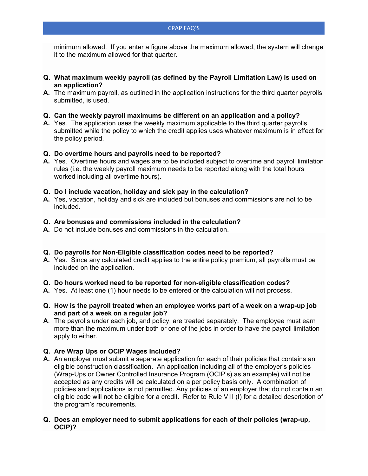minimum allowed. If you enter a figure above the maximum allowed, the system will change it to the maximum allowed for that quarter.

- **Q. What maximum weekly payroll (as defined by the Payroll Limitation Law) is used on an application?**
- **A.** The maximum payroll, as outlined in the application instructions for the third quarter payrolls submitted, is used.
- **Q. Can the weekly payroll maximums be different on an application and a policy?**
- **A.** Yes. The application uses the weekly maximum applicable to the third quarter payrolls submitted while the policy to which the credit applies uses whatever maximum is in effect for the policy period.

# **Q. Do overtime hours and payrolls need to be reported?**

**A.** Yes. Overtime hours and wages are to be included subject to overtime and payroll limitation rules (i.e. the weekly payroll maximum needs to be reported along with the total hours worked including all overtime hours).

# **Q. Do I include vacation, holiday and sick pay in the calculation?**

**A.** Yes, vacation, holiday and sick are included but bonuses and commissions are not to be included.

# **Q. Are bonuses and commissions included in the calculation?**

**A.** Do not include bonuses and commissions in the calculation.

## **Q. Do payrolls for Non-Eligible classification codes need to be reported?**

**A.** Yes. Since any calculated credit applies to the entire policy premium, all payrolls must be included on the application.

# **Q. Do hours worked need to be reported for non-eligible classification codes?**

- **A.** Yes. At least one (1) hour needs to be entered or the calculation will not process.
- **Q. How is the payroll treated when an employee works part of a week on a wrap-up job and part of a week on a regular job?**
- **A**. The payrolls under each job, and policy, are treated separately. The employee must earn more than the maximum under both or one of the jobs in order to have the payroll limitation apply to either.

# **Q. Are Wrap Ups or OCIP Wages Included?**

- **A.** An employer must submit a separate application for each of their policies that contains an eligible construction classification. An application including all of the employer's policies (Wrap-Ups or Owner Controlled Insurance Program (OCIP's) as an example) will not be accepted as any credits will be calculated on a per policy basis only. A combination of policies and applications is not permitted. Any policies of an employer that do not contain an eligible code will not be eligible for a credit. Refer to Rule VIII (I) for a detailed description of the program's requirements.
- **Q. Does an employer need to submit applications for each of their policies (wrap-up, OCIP)?**